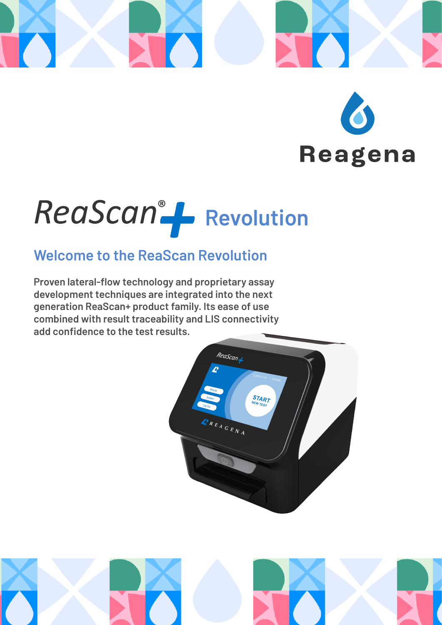

# **Reagena**

## ReaScan<sup>®</sup> Fevolution

## **Welcome to the ReaScan Revolution**

**Proven lateral-flow technology and proprietary assay development techniques are integrated into the next generation ReaScan+ product family. Its ease of use combined with result traceability and LIS connectivity add confidence to the test results.**



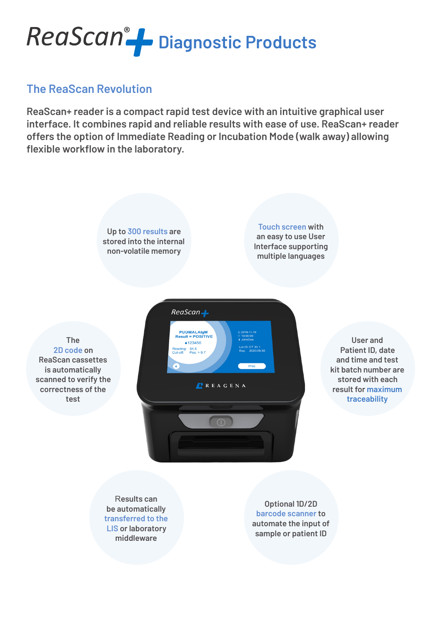

#### **The ReaScan Revolution**

**ReaScan+ reader is a compact rapid test device with an intuitive graphical user interface. It combines rapid and reliable results with ease of use. ReaScan+ reader offers the option of Immediate Reading or Incubation Mode (walk away) allowing flexible workflow in the laboratory.**

> **Up to 300 results are stored into the internal non-volatile memory**

**Touch screen with an easy to use User Interface supporting multiple languages**

**The 2D code on ReaScan cassettes is automatically scanned to verify the correctness of the test**



**User and Patient ID, date and time and test kit batch number are stored with each result for maximum traceability**

R**esults can be automatically transferred to the LIS or laboratory middleware**

**Optional 1D/2D barcode scanner to automate the input of sample or patient ID**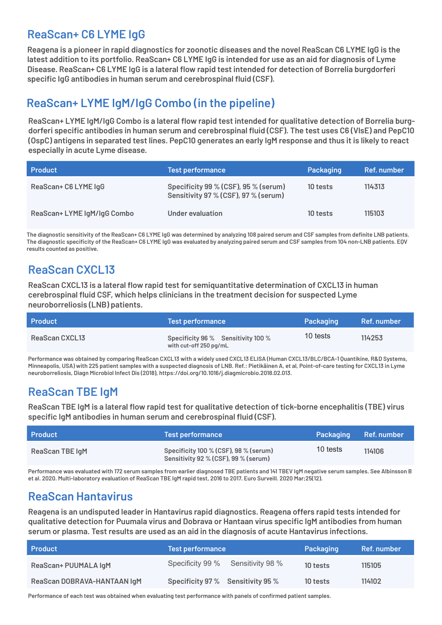#### **ReaScan+ C6 LYME IgG**

**Reagena is a pioneer in rapid diagnostics for zoonotic diseases and the novel ReaScan C6 LYME IgG is the latest addition to its portfolio. ReaScan+ C6 LYME IgG is intended for use as an aid for diagnosis of Lyme Disease. ReaScan+ C6 LYME IgG is a lateral flow rapid test intended for detection of Borrelia burgdorferi specific IgG antibodies in human serum and cerebrospinal fluid (CSF).**

### **ReaScan+ LYME IgM/IgG Combo (in the pipeline)**

**ReaScan+ LYME IgM/IgG Combo is a lateral flow rapid test intended for qualitative detection of Borrelia burgdorferi specific antibodies in human serum and cerebrospinal fluid (CSF). The test uses C6 (VlsE) and PepC10 (OspC) antigens in separated test lines. PepC10 generates an early IgM response and thus it is likely to react especially in acute Lyme disease.**

| <b>Product</b>              | Test performance                                                             | Packaging | Ref. number |
|-----------------------------|------------------------------------------------------------------------------|-----------|-------------|
| ReaScan+ C6 LYME IgG        | Specificity 99 % (CSF), 95 % (serum)<br>Sensitivity 97 % (CSF), 97 % (serum) | 10 tests  | 114313      |
| ReaScan+ LYME IgM/IgG Combo | Under evaluation                                                             | 10 tests  | 115103      |

**The diagnostic sensitivity of the ReaScan+ C6 LYME IgG was determined by analyzing 108 paired serum and CSF samples from definite LNB patients. The diagnostic specificity of the ReaScan+ C6 LYME IgG was evaluated by analyzing paired serum and CSF samples from 104 non-LNB patients. EQV results counted as positive.**

## **ReaScan CXCL13**

**ReaScan CXCL13 is a lateral flow rapid test for semiquantitative determination of CXCL13 in human cerebrospinal fluid CSF, which helps clinicians in the treatment decision for suspected Lyme neuroborreliosis (LNB) patients.** 

| <b>Product</b> | Test performance                                             | Packaging | Ref. number |
|----------------|--------------------------------------------------------------|-----------|-------------|
| ReaScan CXCL13 | Specificity 96 % Sensitivity 100 %<br>with cut-off 250 pg/mL | 10 tests  | 114253      |

**Performance was obtained by comparing ReaScan CXCL13 with a widely used CXCL13 ELISA (Human CXCL13/BLC/BCA-1 Quantikine, R&D Systems, Minneapolis, USA) with 225 patient samples with a suspected diagnosis of LNB. Ref.: Pietikäinen A, et al, Point-of-care testing for CXCL13 in Lyme neuroborreliosis, Diagn Microbiol Infect Dis (2018), https://doi.org/10.1016/j.diagmicrobio.2018.02.013.**

## **ReaScan TBE IgM**

**ReaScan TBE IgM is a lateral flow rapid test for qualitative detection of tick-borne encephalitis (TBE) virus specific IgM antibodies in human serum and cerebrospinal fluid (CSF).**

| <b>Product</b>         | <b>Test performance</b>                                                       | Packaging Ref. number |        |
|------------------------|-------------------------------------------------------------------------------|-----------------------|--------|
| <b>ReaScan TBE IgM</b> | Specificity 100 % (CSF), 98 % (serum)<br>Sensitivity 92 % (CSF), 99 % (serum) | 10 tests              | 114106 |

**Performance was evaluated with 172 serum samples from earlier diagnosed TBE patients and 141 TBEV IgM negative serum samples. See Albinsson B et al. 2020. Multi-laboratory evaluation of ReaScan TBE IgM rapid test, 2016 to 2017. Euro Surveill. 2020 Mar;25(12).**

## **ReaScan Hantavirus**

**Reagena is an undisputed leader in Hantavirus rapid diagnostics. Reagena offers rapid tests intended for qualitative detection for Puumala virus and Dobrava or Hantaan virus specific IgM antibodies from human serum or plasma. Test results are used as an aid in the diagnosis of acute Hantavirus infections.**

| <b>Product</b>              | <b>Test performance</b>           | Packaging | Ref. number |
|-----------------------------|-----------------------------------|-----------|-------------|
| ReaScan+ PUUMALA IgM        | Specificity 99 % Sensitivity 98 % | 10 tests  | 115105      |
| ReaScan DOBRAVA-HANTAAN IgM | Specificity 97% Sensitivity 95%   | 10 tests  | 114102      |

**Performance of each test was obtained when evaluating test performance with panels of confirmed patient samples.**